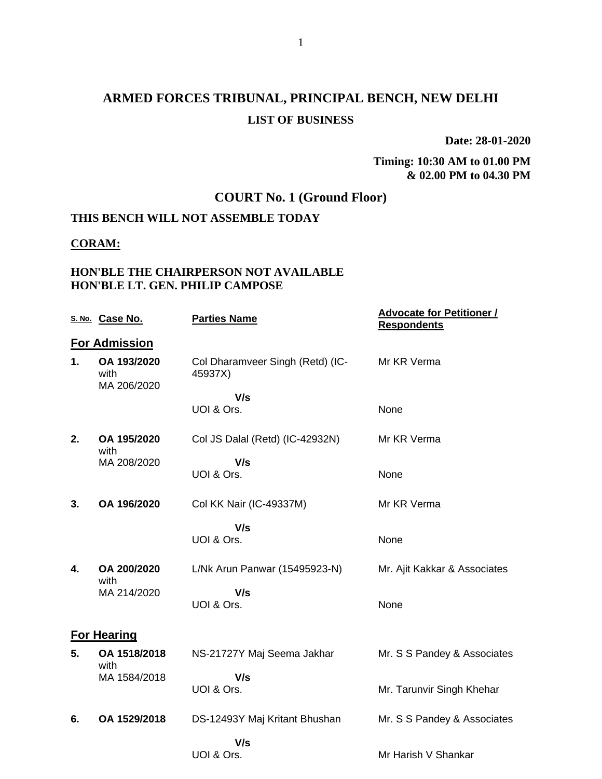# **ARMED FORCES TRIBUNAL, PRINCIPAL BENCH, NEW DELHI LIST OF BUSINESS**

**Date: 28-01-2020**

**Timing: 10:30 AM to 01.00 PM & 02.00 PM to 04.30 PM**

## **COURT No. 1 (Ground Floor)**

## **THIS BENCH WILL NOT ASSEMBLE TODAY**

#### **CORAM:**

#### **HON'BLE THE CHAIRPERSON NOT AVAILABLE HON'BLE LT. GEN. PHILIP CAMPOSE**

|    | S. No. Case No.                    | <b>Parties Name</b>                         | <u><b>Advocate for Petitioner /</b></u><br><b>Respondents</b> |
|----|------------------------------------|---------------------------------------------|---------------------------------------------------------------|
|    | <b>For Admission</b>               |                                             |                                                               |
| 1. | OA 193/2020<br>with<br>MA 206/2020 | Col Dharamveer Singh (Retd) (IC-<br>45937X) | Mr KR Verma                                                   |
|    |                                    | V/s                                         |                                                               |
|    |                                    | UOI & Ors.                                  | None                                                          |
| 2. | OA 195/2020<br>with                | Col JS Dalal (Retd) (IC-42932N)             | Mr KR Verma                                                   |
|    | MA 208/2020                        | V/s                                         |                                                               |
|    |                                    | UOI & Ors.                                  | None                                                          |
| 3. | OA 196/2020                        | Col KK Nair (IC-49337M)                     | Mr KR Verma                                                   |
|    |                                    | V/s                                         |                                                               |
|    |                                    | UOI & Ors.                                  | None                                                          |
| 4. | OA 200/2020<br>with                | L/Nk Arun Panwar (15495923-N)               | Mr. Ajit Kakkar & Associates                                  |
|    | MA 214/2020                        | V/s                                         |                                                               |
|    |                                    | UOI & Ors.                                  | None                                                          |
|    | <b>For Hearing</b>                 |                                             |                                                               |
| 5. | OA 1518/2018<br>with               | NS-21727Y Maj Seema Jakhar                  | Mr. S S Pandey & Associates                                   |
|    | MA 1584/2018                       | V/s                                         |                                                               |
|    |                                    | UOI & Ors.                                  | Mr. Tarunvir Singh Khehar                                     |
| 6. | OA 1529/2018                       | DS-12493Y Maj Kritant Bhushan               | Mr. S S Pandey & Associates                                   |
|    |                                    | V/s                                         |                                                               |
|    |                                    | UOI & Ors.                                  | Mr Harish V Shankar                                           |
|    |                                    |                                             |                                                               |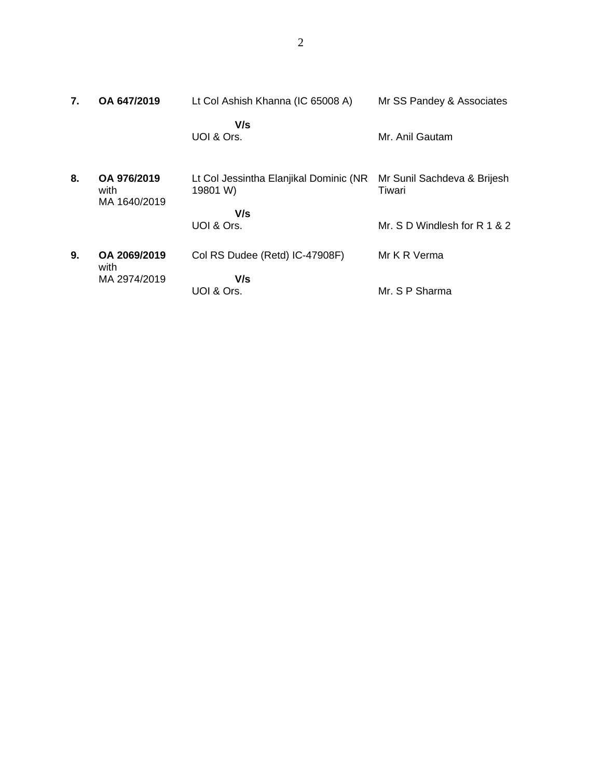| 7. | OA 647/2019                         | Lt Col Ashish Khanna (IC 65008 A)                  | Mr SS Pandey & Associates             |
|----|-------------------------------------|----------------------------------------------------|---------------------------------------|
|    |                                     | V/s<br>UOI & Ors.                                  | Mr. Anil Gautam                       |
| 8. | OA 976/2019<br>with<br>MA 1640/2019 | Lt Col Jessintha Elanjikal Dominic (NR<br>19801 W) | Mr Sunil Sachdeva & Brijesh<br>Tiwari |
|    |                                     | V/s                                                |                                       |
|    |                                     | UOI & Ors.                                         | Mr. $S$ D Windlesh for R 1 & 2        |
| 9. | OA 2069/2019<br>with                | Col RS Dudee (Retd) IC-47908F)                     | Mr K R Verma                          |
|    | MA 2974/2019                        | V/s                                                |                                       |
|    |                                     | UOI & Ors.                                         | Mr. S P Sharma                        |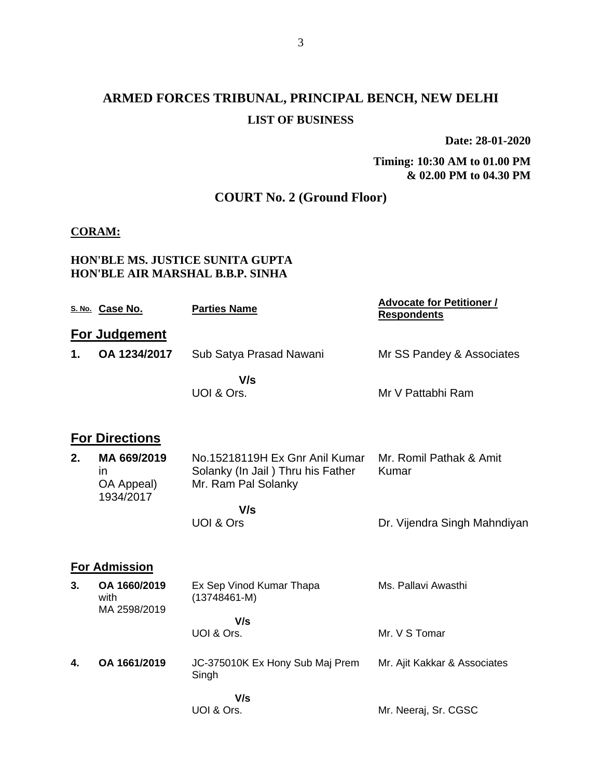# **ARMED FORCES TRIBUNAL, PRINCIPAL BENCH, NEW DELHI LIST OF BUSINESS**

**Date: 28-01-2020**

**Timing: 10:30 AM to 01.00 PM & 02.00 PM to 04.30 PM**

## **COURT No. 2 (Ground Floor)**

#### **CORAM:**

#### **HON'BLE MS. JUSTICE SUNITA GUPTA HON'BLE AIR MARSHAL B.B.P. SINHA**

|    | S. No. Case No.                              | <b>Parties Name</b>                                                                        | <b>Advocate for Petitioner /</b><br><b>Respondents</b> |
|----|----------------------------------------------|--------------------------------------------------------------------------------------------|--------------------------------------------------------|
|    | For Judgement                                |                                                                                            |                                                        |
| 1. | OA 1234/2017                                 | Sub Satya Prasad Nawani                                                                    | Mr SS Pandey & Associates                              |
|    |                                              | V/s<br>UOI & Ors.                                                                          | Mr V Pattabhi Ram                                      |
|    | <b>For Directions</b>                        |                                                                                            |                                                        |
| 2. | MA 669/2019<br>ın<br>OA Appeal)<br>1934/2017 | No.15218119H Ex Gnr Anil Kumar<br>Solanky (In Jail) Thru his Father<br>Mr. Ram Pal Solanky | Mr. Romil Pathak & Amit<br>Kumar                       |
|    |                                              | V/s<br>UOI & Ors                                                                           | Dr. Vijendra Singh Mahndiyan                           |
|    | <b>For Admission</b>                         |                                                                                            |                                                        |
| 3. | OA 1660/2019<br>with<br>MA 2598/2019         | Ex Sep Vinod Kumar Thapa<br>$(13748461 - M)$                                               | Ms. Pallavi Awasthi                                    |
|    |                                              | V/s<br>UOI & Ors.                                                                          | Mr. V S Tomar                                          |
| 4. | OA 1661/2019                                 | JC-375010K Ex Hony Sub Maj Prem<br>Singh                                                   | Mr. Ajit Kakkar & Associates                           |
|    |                                              | V/s<br>UOI & Ors.                                                                          | Mr. Neeraj, Sr. CGSC                                   |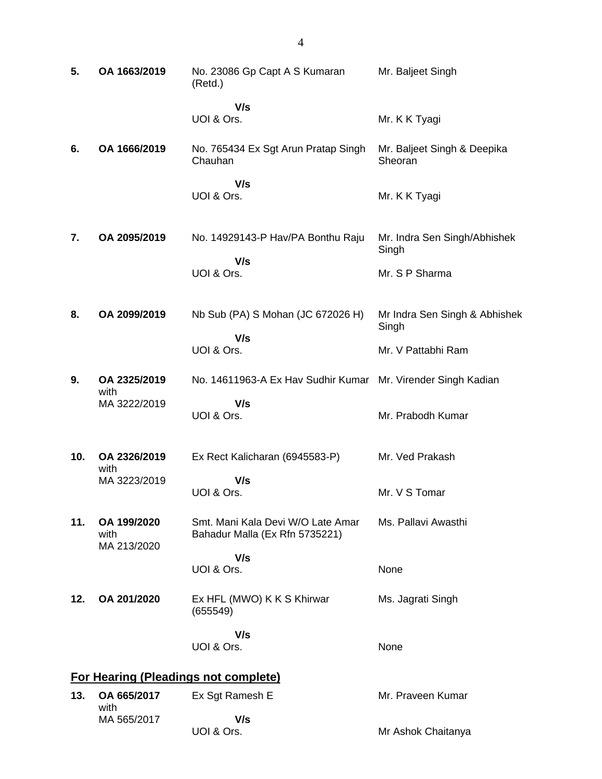| 5.  | OA 1663/2019                       | No. 23086 Gp Capt A S Kumaran<br>(Retd.)                            | Mr. Baljeet Singh                      |
|-----|------------------------------------|---------------------------------------------------------------------|----------------------------------------|
|     |                                    | V/s<br>UOI & Ors.                                                   | Mr. K K Tyagi                          |
| 6.  | OA 1666/2019                       | No. 765434 Ex Sgt Arun Pratap Singh<br>Chauhan                      | Mr. Baljeet Singh & Deepika<br>Sheoran |
|     |                                    | V/s<br>UOI & Ors.                                                   | Mr. K K Tyagi                          |
| 7.  | OA 2095/2019                       | No. 14929143-P Hav/PA Bonthu Raju                                   | Mr. Indra Sen Singh/Abhishek<br>Singh  |
|     |                                    | V/s<br>UOI & Ors.                                                   | Mr. S P Sharma                         |
| 8.  | OA 2099/2019                       | Nb Sub (PA) S Mohan (JC 672026 H)                                   | Mr Indra Sen Singh & Abhishek<br>Singh |
|     |                                    | V/s<br>UOI & Ors.                                                   | Mr. V Pattabhi Ram                     |
| 9.  | OA 2325/2019<br>with               | No. 14611963-A Ex Hav Sudhir Kumar Mr. Virender Singh Kadian        |                                        |
|     | MA 3222/2019                       | V/s<br>UOI & Ors.                                                   | Mr. Prabodh Kumar                      |
| 10. | OA 2326/2019<br>with               | Ex Rect Kalicharan (6945583-P)                                      | Mr. Ved Prakash                        |
|     | MA 3223/2019                       | V/s<br>UOI & Ors.                                                   | Mr. V S Tomar                          |
| 11. | OA 199/2020<br>with<br>MA 213/2020 | Smt. Mani Kala Devi W/O Late Amar<br>Bahadur Malla (Ex Rfn 5735221) | Ms. Pallavi Awasthi                    |
|     |                                    | V/s<br>UOI & Ors.                                                   | None                                   |
| 12. | OA 201/2020                        | Ex HFL (MWO) K K S Khirwar<br>(655549)                              | Ms. Jagrati Singh                      |
|     |                                    | V/s<br>UOI & Ors.                                                   | None                                   |
|     |                                    | <b>For Hearing (Pleadings not complete)</b>                         |                                        |
| 13. | OA 665/2017<br>with                | Ex Sgt Ramesh E                                                     | Mr. Praveen Kumar                      |
|     | MA 565/2017                        | V/s<br>UOI & Ors.                                                   | Mr Ashok Chaitanya                     |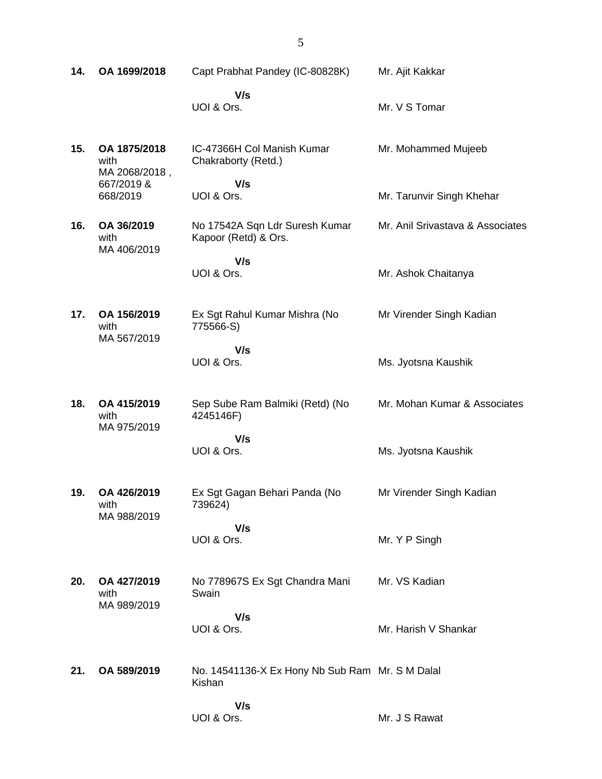| 14. | OA 1699/2018                          | Capt Prabhat Pandey (IC-80828K)                           | Mr. Ajit Kakkar                  |
|-----|---------------------------------------|-----------------------------------------------------------|----------------------------------|
|     |                                       | V/s<br>UOI & Ors.                                         | Mr. V S Tomar                    |
| 15. | OA 1875/2018<br>with<br>MA 2068/2018, | IC-47366H Col Manish Kumar<br>Chakraborty (Retd.)         | Mr. Mohammed Mujeeb              |
|     | 667/2019 &<br>668/2019                | V/s<br>UOI & Ors.                                         | Mr. Tarunvir Singh Khehar        |
| 16. | OA 36/2019<br>with<br>MA 406/2019     | No 17542A Sqn Ldr Suresh Kumar<br>Kapoor (Retd) & Ors.    | Mr. Anil Srivastava & Associates |
|     |                                       | V/s<br>UOI & Ors.                                         | Mr. Ashok Chaitanya              |
| 17. | OA 156/2019<br>with<br>MA 567/2019    | Ex Sgt Rahul Kumar Mishra (No<br>775566-S)                | Mr Virender Singh Kadian         |
|     |                                       | V/s<br>UOI & Ors.                                         | Ms. Jyotsna Kaushik              |
| 18. | OA 415/2019<br>with<br>MA 975/2019    | Sep Sube Ram Balmiki (Retd) (No<br>4245146F)              | Mr. Mohan Kumar & Associates     |
|     |                                       | V/s<br>UOI & Ors.                                         | Ms. Jyotsna Kaushik              |
| 19. | OA 426/2019<br>with<br>MA 988/2019    | Ex Sgt Gagan Behari Panda (No<br>739624)                  | Mr Virender Singh Kadian         |
|     |                                       | V/s<br>UOI & Ors.                                         | Mr. Y P Singh                    |
| 20. | OA 427/2019<br>with<br>MA 989/2019    | No 778967S Ex Sgt Chandra Mani<br>Swain                   | Mr. VS Kadian                    |
|     |                                       | V/s<br>UOI & Ors.                                         | Mr. Harish V Shankar             |
| 21. | OA 589/2019                           | No. 14541136-X Ex Hony Nb Sub Ram Mr. S M Dalal<br>Kishan |                                  |
|     |                                       | V/s<br>UOI & Ors.                                         | Mr. J S Rawat                    |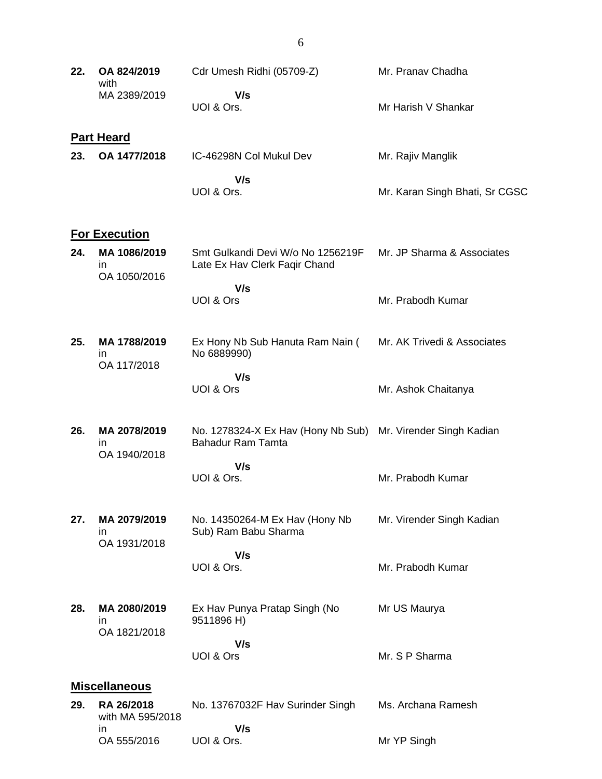| 22. | OA 824/2019<br>with                 | Cdr Umesh Ridhi (05709-Z)                                                                | Mr. Pranav Chadha              |
|-----|-------------------------------------|------------------------------------------------------------------------------------------|--------------------------------|
|     | MA 2389/2019                        | V/s<br>UOI & Ors.                                                                        | Mr Harish V Shankar            |
|     | <b>Part Heard</b>                   |                                                                                          |                                |
| 23. | OA 1477/2018                        | IC-46298N Col Mukul Dev                                                                  | Mr. Rajiv Manglik              |
|     |                                     | V/s<br>UOI & Ors.                                                                        | Mr. Karan Singh Bhati, Sr CGSC |
|     | <b>For Execution</b>                |                                                                                          |                                |
| 24. | MA 1086/2019<br>in.<br>OA 1050/2016 | Smt Gulkandi Devi W/o No 1256219F<br>Late Ex Hav Clerk Faqir Chand                       | Mr. JP Sharma & Associates     |
|     |                                     | V/s<br>UOI & Ors                                                                         | Mr. Prabodh Kumar              |
| 25. | MA 1788/2019<br>in.<br>OA 117/2018  | Ex Hony Nb Sub Hanuta Ram Nain (<br>No 6889990)                                          | Mr. AK Trivedi & Associates    |
|     |                                     | V/s<br>UOI & Ors                                                                         | Mr. Ashok Chaitanya            |
| 26. | MA 2078/2019<br>in                  | No. 1278324-X Ex Hav (Hony Nb Sub) Mr. Virender Singh Kadian<br><b>Bahadur Ram Tamta</b> |                                |
|     | OA 1940/2018                        | V/s<br>UOI & Ors.                                                                        | Mr. Prabodh Kumar              |
| 27. | MA 2079/2019<br>ın                  | No. 14350264-M Ex Hav (Hony Nb<br>Sub) Ram Babu Sharma                                   | Mr. Virender Singh Kadian      |
|     | OA 1931/2018                        | V/s<br>UOI & Ors.                                                                        | Mr. Prabodh Kumar              |
| 28. | MA 2080/2019<br>ın                  | Ex Hav Punya Pratap Singh (No<br>9511896 H)                                              | Mr US Maurya                   |
|     | OA 1821/2018                        | V/s<br>UOI & Ors                                                                         | Mr. S P Sharma                 |
|     | <b>Miscellaneous</b>                |                                                                                          |                                |
| 29. | RA 26/2018<br>with MA 595/2018      | No. 13767032F Hav Surinder Singh                                                         | Ms. Archana Ramesh             |
|     | in<br>OA 555/2016                   | V/s<br>UOI & Ors.                                                                        | Mr YP Singh                    |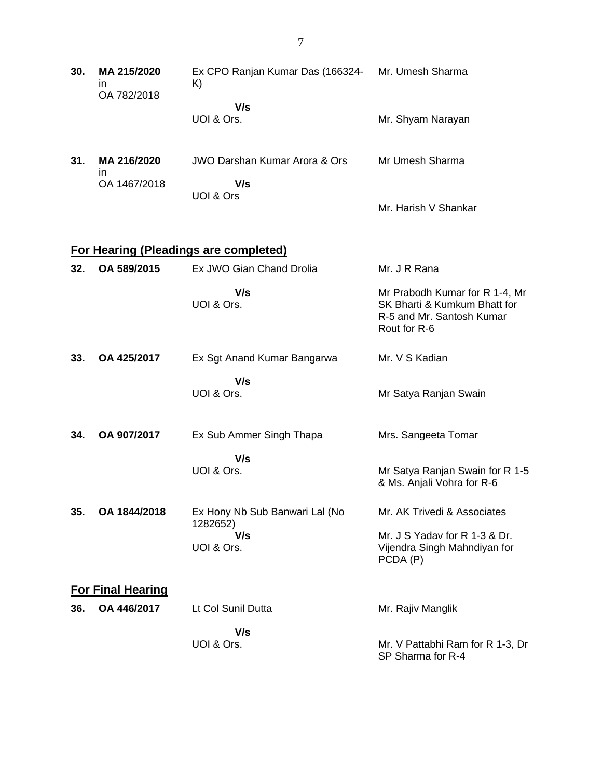| 30. | MA 215/2020<br>in.<br>OA 782/2018 | Ex CPO Ranjan Kumar Das (166324-<br>K)       | Mr. Umesh Sharma                                                                                            |
|-----|-----------------------------------|----------------------------------------------|-------------------------------------------------------------------------------------------------------------|
|     |                                   | V/s<br>UOI & Ors.                            | Mr. Shyam Narayan                                                                                           |
| 31. | MA 216/2020<br>in.                | <b>JWO Darshan Kumar Arora &amp; Ors</b>     | Mr Umesh Sharma                                                                                             |
|     | OA 1467/2018                      | V/s<br>UOI & Ors                             | Mr. Harish V Shankar                                                                                        |
|     |                                   | <b>For Hearing (Pleadings are completed)</b> |                                                                                                             |
| 32. | OA 589/2015                       | Ex JWO Gian Chand Drolia                     | Mr. J R Rana                                                                                                |
|     |                                   | V/s<br>UOI & Ors.                            | Mr Prabodh Kumar for R 1-4, Mr<br>SK Bharti & Kumkum Bhatt for<br>R-5 and Mr. Santosh Kumar<br>Rout for R-6 |
| 33. | OA 425/2017                       | Ex Sgt Anand Kumar Bangarwa                  | Mr. V S Kadian                                                                                              |
|     |                                   | V/s<br>UOI & Ors.                            | Mr Satya Ranjan Swain                                                                                       |
| 34. | OA 907/2017                       | Ex Sub Ammer Singh Thapa                     | Mrs. Sangeeta Tomar                                                                                         |
|     |                                   | V/s<br>UOI & Ors.                            | Mr Satya Ranjan Swain for R 1-5<br>& Ms. Anjali Vohra for R-6                                               |
| 35. | OA 1844/2018                      | Ex Hony Nb Sub Banwari Lal (No<br>1282652)   | Mr. AK Trivedi & Associates                                                                                 |
|     |                                   | V/s<br>UOI & Ors.                            | Mr. J S Yadav for R 1-3 & Dr.<br>Vijendra Singh Mahndiyan for<br>PCDA (P)                                   |
|     | <b>For Final Hearing</b>          |                                              |                                                                                                             |
| 36. | OA 446/2017                       | Lt Col Sunil Dutta                           | Mr. Rajiv Manglik                                                                                           |
|     |                                   | V/s<br>UOI & Ors.                            | Mr. V Pattabhi Ram for R 1-3, Dr<br>SP Sharma for R-4                                                       |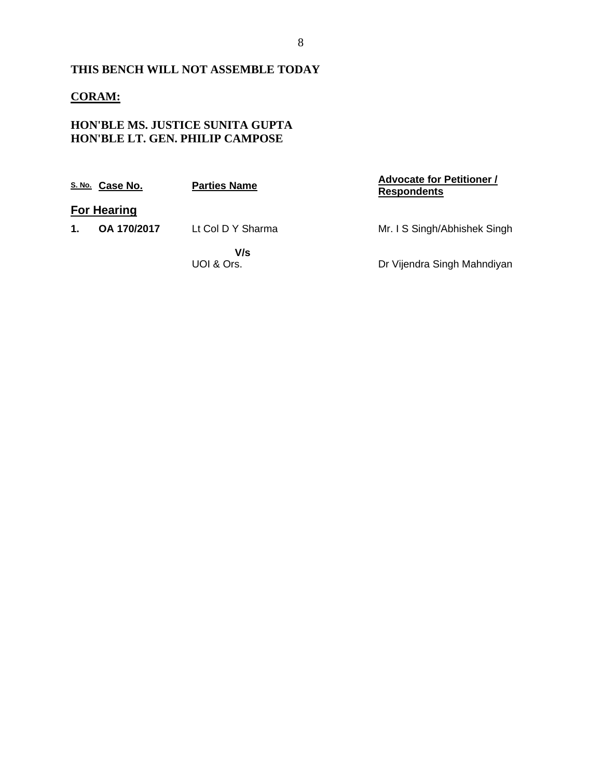### **THIS BENCH WILL NOT ASSEMBLE TODAY**

### **CORAM:**

#### **HON'BLE MS. JUSTICE SUNITA GUPTA HON'BLE LT. GEN. PHILIP CAMPOSE**

|    | S. No. Case No.    | <b>Parties Name</b> | <b>Advocate for Petitioner /</b><br><b>Respondents</b> |
|----|--------------------|---------------------|--------------------------------------------------------|
|    | <b>For Hearing</b> |                     |                                                        |
| 1. | OA 170/2017        | Lt Col D Y Sharma   | Mr. I S Singh/Abhishek Singh                           |
|    |                    | V/s<br>UOI & Ors.   | Dr Vijendra Singh Mahndiyan                            |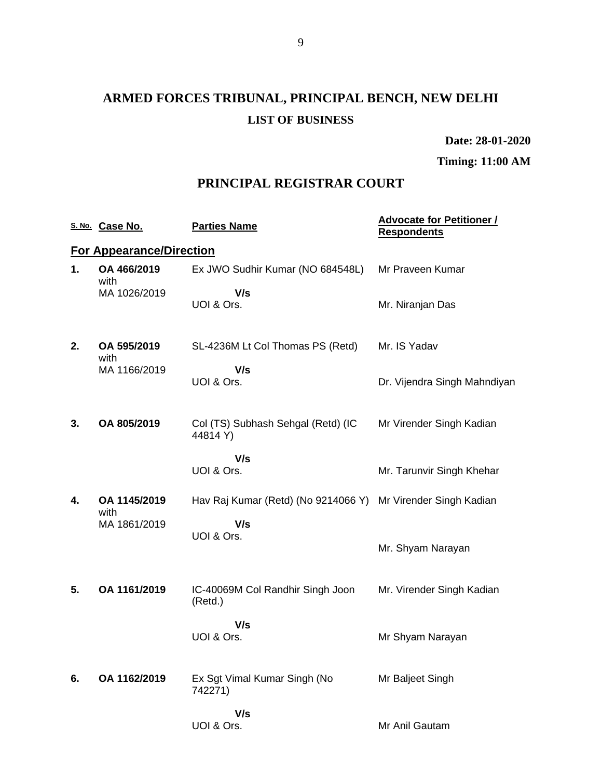# **ARMED FORCES TRIBUNAL, PRINCIPAL BENCH, NEW DELHI LIST OF BUSINESS**

**Date: 28-01-2020**

**Timing: 11:00 AM**

### **PRINCIPAL REGISTRAR COURT**

|    | S. No. Case No.                 | <b>Parties Name</b>                            | <b>Advocate for Petitioner /</b><br><b>Respondents</b> |
|----|---------------------------------|------------------------------------------------|--------------------------------------------------------|
|    | <b>For Appearance/Direction</b> |                                                |                                                        |
| 1. | OA 466/2019<br>with             | Ex JWO Sudhir Kumar (NO 684548L)               | Mr Praveen Kumar                                       |
|    | MA 1026/2019                    | V/s<br>UOI & Ors.                              | Mr. Niranjan Das                                       |
| 2. | OA 595/2019<br>with             | SL-4236M Lt Col Thomas PS (Retd)               | Mr. IS Yadav                                           |
|    | MA 1166/2019                    | V/s<br>UOI & Ors.                              | Dr. Vijendra Singh Mahndiyan                           |
| 3. | OA 805/2019                     | Col (TS) Subhash Sehgal (Retd) (IC<br>44814 Y) | Mr Virender Singh Kadian                               |
|    |                                 | V/s<br>UOI & Ors.                              | Mr. Tarunvir Singh Khehar                              |
| 4. | OA 1145/2019<br>with            | Hav Raj Kumar (Retd) (No 9214066 Y)            | Mr Virender Singh Kadian                               |
|    | MA 1861/2019                    | V/s<br>UOI & Ors.                              | Mr. Shyam Narayan                                      |
| 5. | OA 1161/2019                    | IC-40069M Col Randhir Singh Joon<br>(Retd.)    | Mr. Virender Singh Kadian                              |
|    |                                 | V/s<br>UOI & Ors.                              | Mr Shyam Narayan                                       |
| 6. | OA 1162/2019                    | Ex Sgt Vimal Kumar Singh (No<br>742271)        | Mr Baljeet Singh                                       |
|    |                                 | V/s<br>UOI & Ors.                              | Mr Anil Gautam                                         |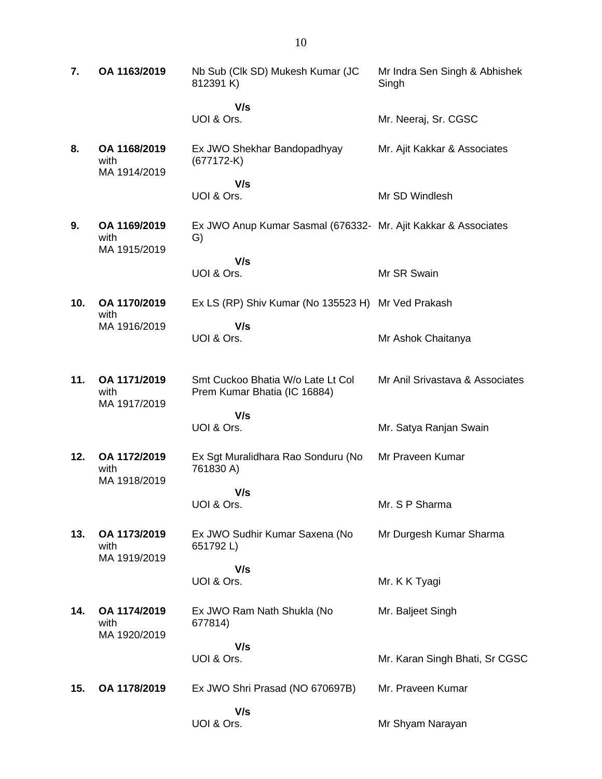| 7.  | OA 1163/2019                         | Nb Sub (Clk SD) Mukesh Kumar (JC<br>812391 K)                        | Mr Indra Sen Singh & Abhishek<br>Singh |
|-----|--------------------------------------|----------------------------------------------------------------------|----------------------------------------|
|     |                                      | V/s<br>UOI & Ors.                                                    | Mr. Neeraj, Sr. CGSC                   |
| 8.  | OA 1168/2019<br>with<br>MA 1914/2019 | Ex JWO Shekhar Bandopadhyay<br>$(677172-K)$                          | Mr. Ajit Kakkar & Associates           |
|     |                                      | V/s                                                                  |                                        |
|     |                                      | UOI & Ors.                                                           | Mr SD Windlesh                         |
| 9.  | OA 1169/2019<br>with<br>MA 1915/2019 | Ex JWO Anup Kumar Sasmal (676332- Mr. Ajit Kakkar & Associates<br>G) |                                        |
|     |                                      | V/s                                                                  |                                        |
|     |                                      | UOI & Ors.                                                           | Mr SR Swain                            |
| 10. | OA 1170/2019<br>with                 | Ex LS (RP) Shiv Kumar (No 135523 H) Mr Ved Prakash                   |                                        |
|     | MA 1916/2019                         | V/s                                                                  |                                        |
|     |                                      | UOI & Ors.                                                           | Mr Ashok Chaitanya                     |
| 11. | OA 1171/2019<br>with<br>MA 1917/2019 | Smt Cuckoo Bhatia W/o Late Lt Col<br>Prem Kumar Bhatia (IC 16884)    | Mr Anil Srivastava & Associates        |
|     |                                      | V/s                                                                  |                                        |
|     |                                      | UOI & Ors.                                                           | Mr. Satya Ranjan Swain                 |
| 12. | OA 1172/2019<br>with<br>MA 1918/2019 | Ex Sgt Muralidhara Rao Sonduru (No<br>761830 A)                      | Mr Praveen Kumar                       |
|     |                                      | V/s                                                                  |                                        |
|     |                                      | UOI & Ors.                                                           | Mr. S P Sharma                         |
| 13. | OA 1173/2019<br>with<br>MA 1919/2019 | Ex JWO Sudhir Kumar Saxena (No<br>651792L)                           | Mr Durgesh Kumar Sharma                |
|     |                                      | V/s                                                                  |                                        |
|     |                                      | UOI & Ors.                                                           | Mr. K K Tyagi                          |
| 14. | OA 1174/2019<br>with<br>MA 1920/2019 | Ex JWO Ram Nath Shukla (No<br>677814)                                | Mr. Baljeet Singh                      |
|     |                                      | V/s                                                                  |                                        |
|     |                                      | UOI & Ors.                                                           | Mr. Karan Singh Bhati, Sr CGSC         |
| 15. | OA 1178/2019                         | Ex JWO Shri Prasad (NO 670697B)                                      | Mr. Praveen Kumar                      |
|     |                                      | V/s                                                                  |                                        |
|     |                                      | UOI & Ors.                                                           | Mr Shyam Narayan                       |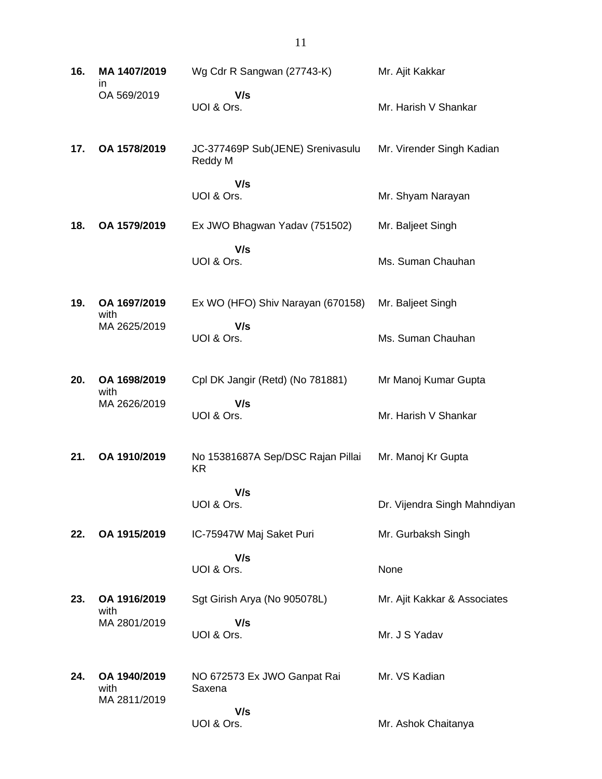| 16. | MA 1407/2019<br>ın                   | Wg Cdr R Sangwan (27743-K)                     | Mr. Ajit Kakkar              |
|-----|--------------------------------------|------------------------------------------------|------------------------------|
|     | OA 569/2019                          | V/s<br>UOI & Ors.                              | Mr. Harish V Shankar         |
| 17. | OA 1578/2019                         | JC-377469P Sub(JENE) Srenivasulu<br>Reddy M    | Mr. Virender Singh Kadian    |
|     |                                      | V/s<br>UOI & Ors.                              | Mr. Shyam Narayan            |
| 18. | OA 1579/2019                         | Ex JWO Bhagwan Yadav (751502)                  | Mr. Baljeet Singh            |
|     |                                      | V/s<br>UOI & Ors.                              | Ms. Suman Chauhan            |
| 19. | OA 1697/2019                         | Ex WO (HFO) Shiv Narayan (670158)              | Mr. Baljeet Singh            |
|     | with<br>MA 2625/2019                 | V/s<br>UOI & Ors.                              | Ms. Suman Chauhan            |
| 20. | OA 1698/2019                         | Cpl DK Jangir (Retd) (No 781881)               | Mr Manoj Kumar Gupta         |
|     | with<br>MA 2626/2019                 | V/s<br>UOI & Ors.                              | Mr. Harish V Shankar         |
| 21. | OA 1910/2019                         | No 15381687A Sep/DSC Rajan Pillai<br><b>KR</b> | Mr. Manoj Kr Gupta           |
|     |                                      | V/s<br>UOI & Ors.                              | Dr. Vijendra Singh Mahndiyan |
| 22. | OA 1915/2019                         | IC-75947W Maj Saket Puri                       | Mr. Gurbaksh Singh           |
|     |                                      | V/s<br>UOI & Ors.                              | None                         |
| 23. | OA 1916/2019<br>with                 | Sgt Girish Arya (No 905078L)                   | Mr. Ajit Kakkar & Associates |
|     | MA 2801/2019                         | V/s<br>UOI & Ors.                              | Mr. J S Yadav                |
| 24. | OA 1940/2019<br>with<br>MA 2811/2019 | NO 672573 Ex JWO Ganpat Rai<br>Saxena          | Mr. VS Kadian                |
|     |                                      | V/s<br>UOI & Ors.                              | Mr. Ashok Chaitanya          |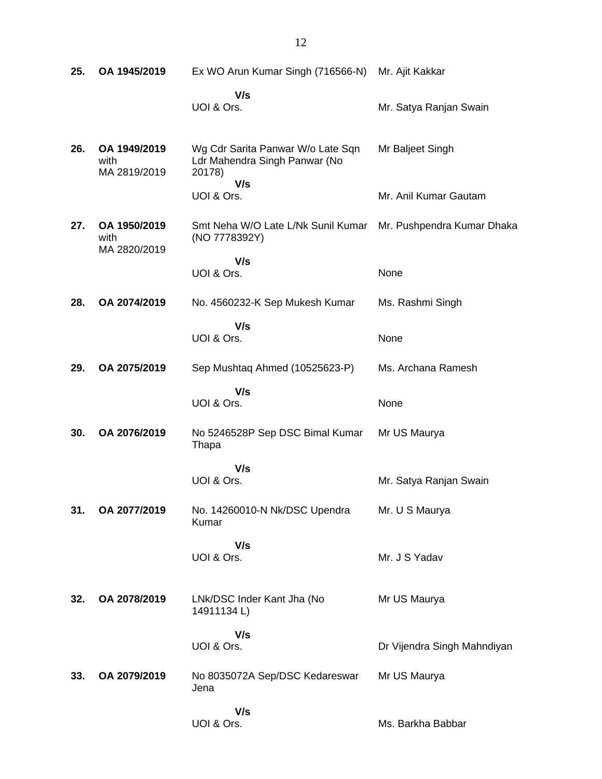| 25. | OA 1945/2019                         | Ex WO Arun Kumar Singh (716566-N)                                                   | Mr. Ajit Kakkar             |
|-----|--------------------------------------|-------------------------------------------------------------------------------------|-----------------------------|
|     |                                      | V/s<br>UOI & Ors.                                                                   | Mr. Satya Ranjan Swain      |
| 26. | OA 1949/2019<br>with<br>MA 2819/2019 | Wg Cdr Sarita Panwar W/o Late Sqn<br>Ldr Mahendra Singh Panwar (No<br>20178)<br>V/s | Mr Baljeet Singh            |
|     |                                      | UOI & Ors.                                                                          | Mr. Anil Kumar Gautam       |
| 27. | OA 1950/2019<br>with<br>MA 2820/2019 | Smt Neha W/O Late L/Nk Sunil Kumar<br>(NO 7778392Y)                                 | Mr. Pushpendra Kumar Dhaka  |
|     |                                      | V/s<br>UOI & Ors.                                                                   | None                        |
| 28. | OA 2074/2019                         | No. 4560232-K Sep Mukesh Kumar                                                      | Ms. Rashmi Singh            |
|     |                                      | V/s<br>UOI & Ors.                                                                   | None                        |
| 29. | OA 2075/2019                         | Sep Mushtaq Ahmed (10525623-P)                                                      | Ms. Archana Ramesh          |
|     |                                      | V/s<br>UOI & Ors.                                                                   | None                        |
| 30. | OA 2076/2019                         | No 5246528P Sep DSC Bimal Kumar<br>Thapa                                            | Mr US Maurya                |
|     |                                      | V/s<br>UOI & Ors.                                                                   | Mr. Satya Ranjan Swain      |
| 31. | OA 2077/2019                         | No. 14260010-N Nk/DSC Upendra<br>Kumar                                              | Mr. U S Maurya              |
|     |                                      | V/s<br>UOI & Ors.                                                                   | Mr. J S Yadav               |
| 32. | OA 2078/2019                         | LNk/DSC Inder Kant Jha (No<br>14911134L)                                            | Mr US Maurya                |
|     |                                      | V/s<br>UOI & Ors.                                                                   | Dr Vijendra Singh Mahndiyan |
| 33. | OA 2079/2019                         | No 8035072A Sep/DSC Kedareswar<br>Jena                                              | Mr US Maurya                |
|     |                                      | V/s<br>UOI & Ors.                                                                   | Ms. Barkha Babbar           |